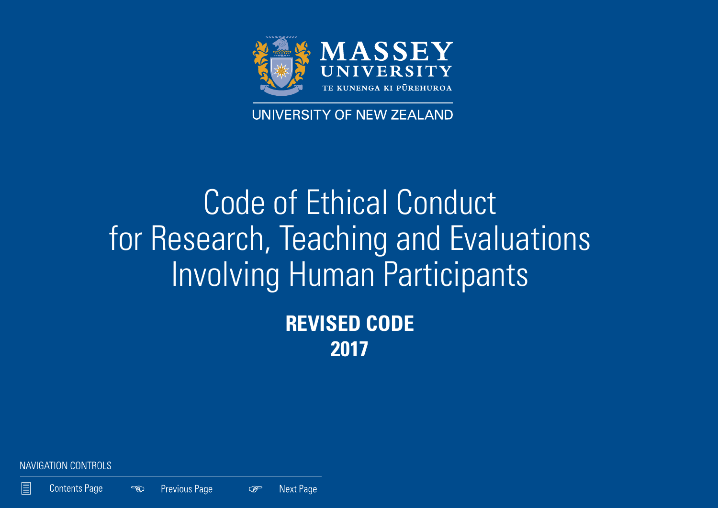

# UNIVERSITY OF NEW ZEALAND

# Code of Ethical Conduct for Research, Teaching and Evaluations Involving Human Participants **REVISED CODE 2017**

NAVIGATION CONTROLS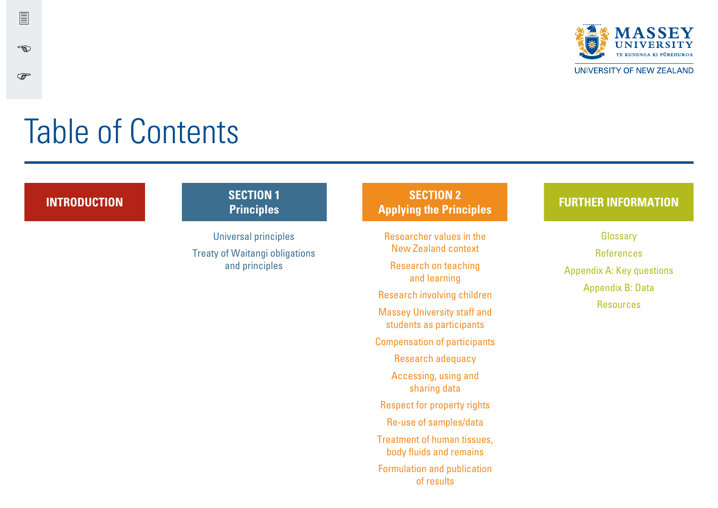

UNIVERSITY OF NEW ZEALAND

# Table of Contents

冒

-ඉා

 $\mathbb{Q}$ 

#### **INTRODUCTION SECTION 1 Principles**

Universal principles Treaty of Waitangi obligations and principles

#### **SECTION 2 Applying the Principles FURTHER INFORMATION**

Researcher values in the New Zealand context

Research on teaching and learning

Research involving children

Massey University staff and students as participants

Compensation of participants

Research adequacy Accessing, using and

sharing data

Respect for property rights

Re-use of samples/data

Treatment of human tissues, body fluids and remains

Formulation and publication of results

**Glossary** References Appendix A: Key questions Appendix B: Data **Resources**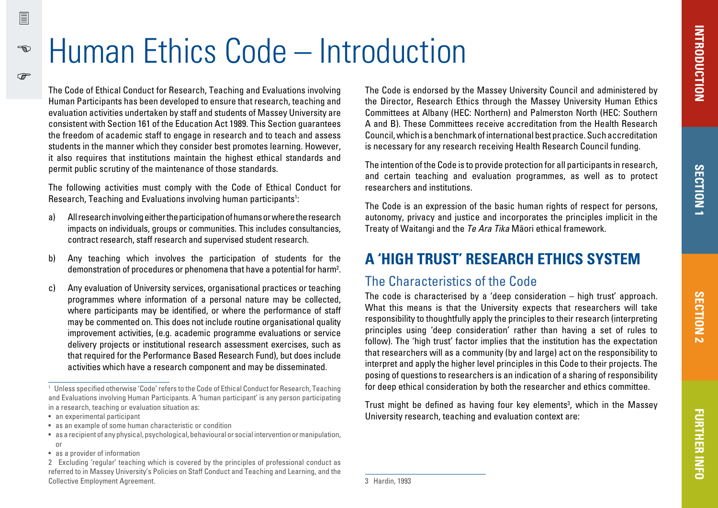# Human Ethics Code – Introduction

The Code of Ethical Conduct for Research, Teaching and Evaluations involving Human Participants has been developed to ensure that research, teaching and evaluation activities undertaken by staff and students of Massey University are consistent with Section 161 of the Education Act 1989. This Section guarantees the freedom of academic staff to engage in research and to teach and assess students in the manner which they consider best promotes learning. However, it also requires that institutions maintain the highest ethical standards and permit public scrutiny of the maintenance of those standards.

The following activities must comply with the Code of Ethical Conduct for Research, Teaching and Evaluations involving human participants<sup>1</sup>:

- a) All research involving either the participation of humans or where the research impacts on individuals, groups or communities. This includes consultancies, contract research, staff research and supervised student research.
- b) Any teaching which involves the participation of students for the demonstration of procedures or phenomena that have a potential for harm2 .
- c) Any evaluation of University services, organisational practices or teaching programmes where information of a personal nature may be collected, where participants may be identified, or where the performance of staff may be commented on. This does not include routine organisational quality improvement activities, (e.g. academic programme evaluations or service delivery projects or institutional research assessment exercises, such as that required for the Performance Based Research Fund), but does include activities which have a research component and may be disseminated.

- an experimental participant
- as an example of some human characteristic or condition
- as a recipient of any physical, psychological, behavioural or social intervention or manipulation,

冒

 $\rightarrow$ 

൲

The Code is endorsed by the Massey University Council and administered by the Director, Research Ethics through the Massey University Human Ethics Committees at Albany (HEC: Northern) and Palmerston North (HEC: Southern A and B). These Committees receive accreditation from the Health Research Council, which is a benchmark of international best practice. Such accreditation is necessary for any research receiving Health Research Council funding.

The intention of the Code is to provide protection for all participants in research, and certain teaching and evaluation programmes, as well as to protect researchers and institutions.

The Code is an expression of the basic human rights of respect for persons. autonomy, privacy and justice and incorporates the principles implicit in the Treaty of Waitangi and the Te Ara Tika Mäori ethical framework.

# **A 'HIGH TRUST' RESEARCH ETHICS SYSTEM**

#### The Characteristics of the Code

The code is characterised by a 'deep consideration – high trust' approach. What this means is that the University expects that researchers will take responsibility to thoughtfully apply the principles to their research (interpreting principles using 'deep consideration' rather than having a set of rules to follow). The 'high trust' factor implies that the institution has the expectation that researchers will as a community (by and large) act on the responsibility to interpret and apply the higher level principles in this Code to their projects. The posing of questions to researchers is an indication of a sharing of responsibility for deep ethical consideration by both the researcher and ethics committee.

Trust might be defined as having four key elements<sup>3</sup>, which in the Massey University research, teaching and evaluation context are:

<sup>1</sup> Unless specified otherwise 'Code' refers to the Code of Ethical Conduct for Research, Teaching and Evaluations involving Human Participants. A 'human participant' is any person participating in a research, teaching or evaluation situation as:

or

<sup>•</sup> as a provider of information

<sup>2</sup> Excluding 'regular' teaching which is covered by the principles of professional conduct as referred to in Massey University's Policies on Staff Conduct and Teaching and Learning, and the Collective Employment Agreement.

<sup>3</sup> Hardin, 1993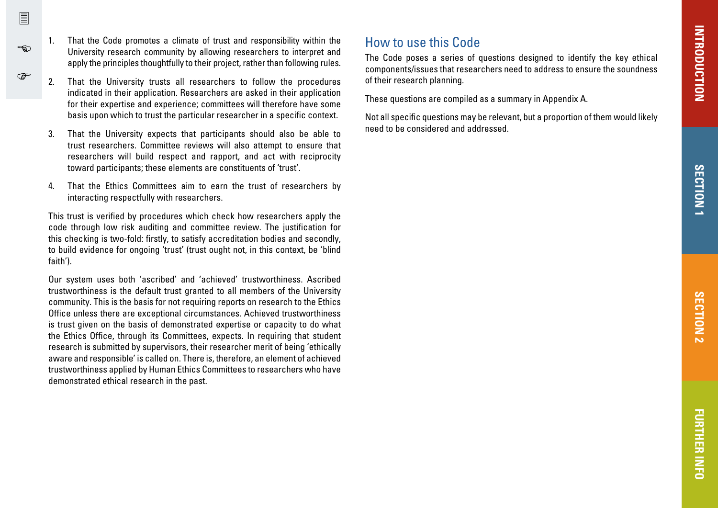1. That the Code promotes a climate of trust and responsibility within the University research community by allowing researchers to interpret and apply the principles thoughtfully to their project, rather than following rules.

 $\sqrt{2}$ 

-න

 $\mathbb{F}$ 

- 2. That the University trusts all researchers to follow the procedures indicated in their application. Researchers are asked in their application for their expertise and experience; committees will therefore have some basis upon which to trust the particular researcher in a specific context.
- 3. That the University expects that participants should also be able to trust researchers. Committee reviews will also attempt to ensure that researchers will build respect and rapport, and act with reciprocity toward participants; these elements are constituents of 'trust'.
- 4. That the Ethics Committees aim to earn the trust of researchers by interacting respectfully with researchers.

This trust is verified by procedures which check how researchers apply the code through low risk auditing and committee review. The justification for this checking is two-fold: firstly, to satisfy accreditation bodies and secondly, to build evidence for ongoing 'trust' (trust ought not, in this context, be 'blind faith').

Our system uses both 'ascribed' and 'achieved' trustworthiness. Ascribed trustworthiness is the default trust granted to all members of the University community. This is the basis for not requiring reports on research to the Ethics Office unless there are exceptional circumstances. Achieved trustworthiness is trust given on the basis of demonstrated expertise or capacity to do what the Ethics Office, through its Committees, expects. In requiring that student research is submitted by supervisors, their researcher merit of being 'ethically aware and responsible' is called on. There is, therefore, an element of achieved trustworthiness applied by Human Ethics Committees to researchers who have demonstrated ethical research in the past.

### How to use this Code

The Code poses a series of questions designed to identify the key ethical components/issues that researchers need to address to ensure the soundness of their research planning.

These questions are compiled as a summary in Appendix A.

Not all specific questions may be relevant, but a proportion of them would likely need to be considered and addressed.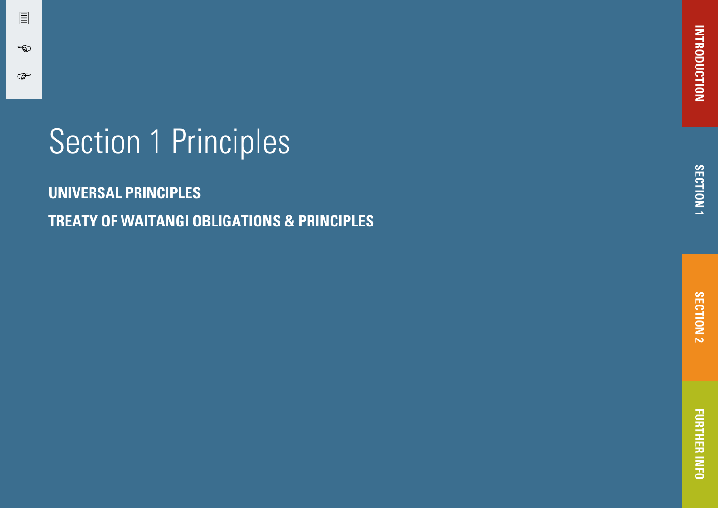# Section 1 Principles

冒

 $\rightarrow$ 

 $\mathbb{Q}$ 

**[UNIVERSAL PRINCIPLES](#page-5-0) TREATY OF WAITANGI OBLIGATIONS & PRINCIPLES**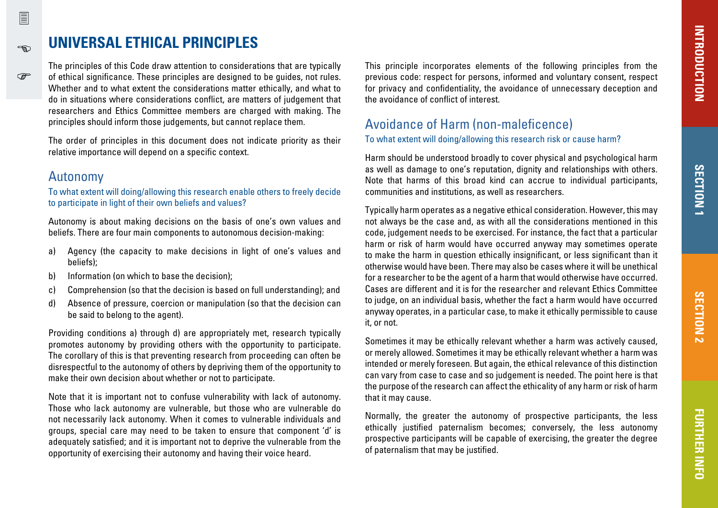# **UNIVERSAL ETHICAL PRINCIPLES**

The principles of this Code draw attention to considerations that are typically of ethical significance. These principles are designed to be guides, not rules. Whether and to what extent the considerations matter ethically, and what to do in situations where considerations conflict, are matters of judgement that researchers and Ethics Committee members are charged with making. The principles should inform those judgements, but cannot replace them.

The order of principles in this document does not indicate priority as their relative importance will depend on a specific context.

#### Autonomy

To what extent will doing/allowing this research enable others to freely decide to participate in light of their own beliefs and values?

Autonomy is about making decisions on the basis of one's own values and beliefs. There are four main components to autonomous decision-making:

- a) Agency (the capacity to make decisions in light of one's values and beliefs);
- b) Information (on which to base the decision);
- c) Comprehension (so that the decision is based on full understanding); and
- d) Absence of pressure, coercion or manipulation (so that the decision can be said to belong to the agent).

Providing conditions a) through d) are appropriately met, research typically promotes autonomy by providing others with the opportunity to participate. The corollary of this is that preventing research from proceeding can often be disrespectful to the autonomy of others by depriving them of the opportunity to make their own decision about whether or not to participate.

Note that it is important not to confuse vulnerability with lack of autonomy. Those who lack autonomy are vulnerable, but those who are vulnerable do not necessarily lack autonomy. When it comes to vulnerable individuals and groups, special care may need to be taken to ensure that component 'd' is adequately satisfied; and it is important not to deprive the vulnerable from the opportunity of exercising their autonomy and having their voice heard.

This principle incorporates elements of the following principles from the previous code: respect for persons, informed and voluntary consent, respect for privacy and confidentiality, the avoidance of unnecessary deception and the avoidance of conflict of interest.

#### Avoidance of Harm (non-maleficence)

To what extent will doing/allowing this research risk or cause harm?

Harm should be understood broadly to cover physical and psychological harm as well as damage to one's reputation, dignity and relationships with others. Note that harms of this broad kind can accrue to individual participants, communities and institutions, as well as researchers.

Typically harm operates as a negative ethical consideration. However, this may not always be the case and, as with all the considerations mentioned in this code, judgement needs to be exercised. For instance, the fact that a particular harm or risk of harm would have occurred anyway may sometimes operate to make the harm in question ethically insignificant, or less significant than it otherwise would have been. There may also be cases where it will be unethical for a researcher to be the agent of a harm that would otherwise have occurred. Cases are different and it is for the researcher and relevant Ethics Committee to judge, on an individual basis, whether the fact a harm would have occurred anyway operates, in a particular case, to make it ethically permissible to cause it, or not.

Sometimes it may be ethically relevant whether a harm was actively caused, or merely allowed. Sometimes it may be ethically relevant whether a harm was intended or merely foreseen. But again, the ethical relevance of this distinction can vary from case to case and so judgement is needed. The point here is that the purpose of the research can affect the ethicality of any harm or risk of harm that it may cause.

Normally, the greater the autonomy of prospective participants, the less ethically justified paternalism becomes; conversely, the less autonomy prospective participants will be capable of exercising, the greater the degree of paternalism that may be justified.

<span id="page-5-0"></span>冒

ക്ക

൲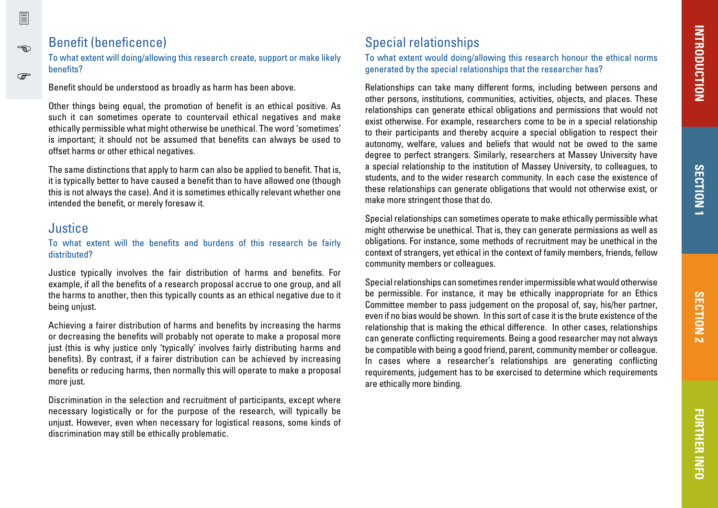# **SECTION1 SECTION 1**

### Benefit (beneficence)

To what extent will doing/allowing this research create, support or make likely benefits?

Benefit should be understood as broadly as harm has been above.

Other things being equal, the promotion of benefit is an ethical positive. As such it can sometimes operate to countervail ethical negatives and make ethically permissible what might otherwise be unethical. The word 'sometimes' is important; it should not be assumed that benefits can always be used to offset harms or other ethical negatives.

The same distinctions that apply to harm can also be applied to benefit. That is, it is typically better to have caused a benefit than to have allowed one (though this is not always the case). And it is sometimes ethically relevant whether one intended the benefit, or merely foresaw it.

#### Justice

冒

ക്ക

෬

#### To what extent will the benefits and burdens of this research be fairly distributed?

Justice typically involves the fair distribution of harms and benefits. For example, if all the benefits of a research proposal accrue to one group, and all the harms to another, then this typically counts as an ethical negative due to it being unjust.

Achieving a fairer distribution of harms and benefits by increasing the harms or decreasing the benefits will probably not operate to make a proposal more just (this is why justice only 'typically' involves fairly distributing harms and benefits). By contrast, if a fairer distribution can be achieved by increasing benefits or reducing harms, then normally this will operate to make a proposal more just.

Discrimination in the selection and recruitment of participants, except where necessary logistically or for the purpose of the research, will typically be unjust. However, even when necessary for logistical reasons, some kinds of discrimination may still be ethically problematic.

# Special relationships

To what extent would doing/allowing this research honour the ethical norms generated by the special relationships that the researcher has?

Relationships can take many different forms, including between persons and other persons, institutions, communities, activities, objects, and places. These relationships can generate ethical obligations and permissions that would not exist otherwise. For example, researchers come to be in a special relationship to their participants and thereby acquire a special obligation to respect their autonomy, welfare, values and beliefs that would not be owed to the same degree to perfect strangers. Similarly, researchers at Massey University have a special relationship to the institution of Massey University, to colleagues, to students, and to the wider research community. In each case the existence of these relationships can generate obligations that would not otherwise exist, or make more stringent those that do.

Special relationships can sometimes operate to make ethically permissible what might otherwise be unethical. That is, they can generate permissions as well as obligations. For instance, some methods of recruitment may be unethical in the context of strangers, yet ethical in the context of family members, friends, fellow community members or colleagues.

Special relationships can sometimes render impermissible what would otherwise be permissible. For instance, it may be ethically inappropriate for an Ethics Committee member to pass judgement on the proposal of, say, his/her partner, even if no bias would be shown. In this sort of case it is the brute existence of the relationship that is making the ethical difference. In other cases, relationships can generate conflicting requirements. Being a good researcher may not always be compatible with being a good friend, parent, community member or colleague. In cases where a researcher's relationships are generating conflicting requirements, judgement has to be exercised to determine which requirements are ethically more binding.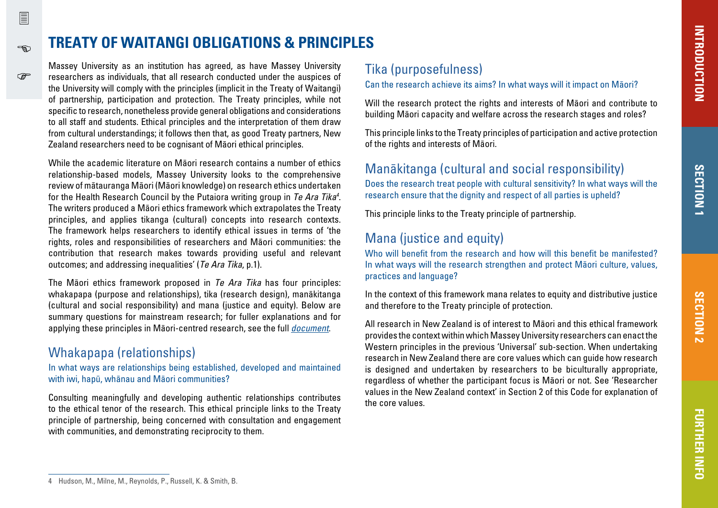# **TREATY OF WAITANGI OBLIGATIONS & PRINCIPLES**

Massey University as an institution has agreed, as have Massey University researchers as individuals, that all research conducted under the auspices of the University will comply with the principles (implicit in the Treaty of Waitangi) of partnership, participation and protection. The Treaty principles, while not specific to research, nonetheless provide general obligations and considerations to all staff and students. Ethical principles and the interpretation of them draw from cultural understandings; it follows then that, as good Treaty partners, New Zealand researchers need to be cognisant of Maori ethical principles.

While the academic literature on Mäori research contains a number of ethics relationship-based models, Massey University looks to the comprehensive review of mätauranga Mäori (Mäori knowledge) on research ethics undertaken for the Health Research Council by the Putaiora writing group in *Te Ara Tika<sup>4</sup>.* The writers produced a Mäori ethics framework which extrapolates the Treaty principles, and applies tikanga (cultural) concepts into research contexts. The framework helps researchers to identify ethical issues in terms of 'the rights, roles and responsibilities of researchers and Mäori communities: the contribution that research makes towards providing useful and relevant outcomes; and addressing inequalities' (Te Ara Tika, p.1).

The Māori ethics framework proposed in Te Ara Tika has four principles: whakapapa (purpose and relationships), tika (research design), manäkitanga (cultural and social responsibility) and mana (justice and equity). Below are summary questions for mainstream research; for fuller explanations and for applying these principles in Māori-centred research, see the full *[document](http://www.hrc.govt.nz/sites/default/files/Te%20Ara%20Tika%20Guidelines%20for%20Maori%20Research%20Ethics.pdf)*.

### Whakapapa (relationships)

冒

ക്ക

൲

In what ways are relationships being established, developed and maintained with iwi, hapü, whänau and Mäori communities?

Consulting meaningfully and developing authentic relationships contributes to the ethical tenor of the research. This ethical principle links to the Treaty principle of partnership, being concerned with consultation and engagement with communities, and demonstrating reciprocity to them.

### Tika (purposefulness)

Can the research achieve its aims? In what ways will it impact on Mäori?

Will the research protect the rights and interests of Maori and contribute to building Mäori capacity and welfare across the research stages and roles?

This principle links to the Treaty principles of participation and active protection of the rights and interests of Mäori.

### Manäkitanga (cultural and social responsibility)

Does the research treat people with cultural sensitivity? In what ways will the research ensure that the dignity and respect of all parties is upheld?

This principle links to the Treaty principle of partnership.

# Mana (justice and equity)

Who will benefit from the research and how will this benefit be manifested? In what ways will the research strengthen and protect Mäori culture, values, practices and language?

In the context of this framework mana relates to equity and distributive justice and therefore to the Treaty principle of protection.

All research in New Zealand is of interest to Mäori and this ethical framework provides the context within which Massey University researchers can enact the Western principles in the previous 'Universal' sub-section. When undertaking research in New Zealand there are core values which can guide how research is designed and undertaken by researchers to be biculturally appropriate, regardless of whether the participant focus is Mäori or not. See 'Researcher values in the New Zealand context' in Section 2 of this Code for explanation of the core values.

<sup>4</sup> Hudson, M., Milne, M., Reynolds, P., Russell, K. & Smith, B.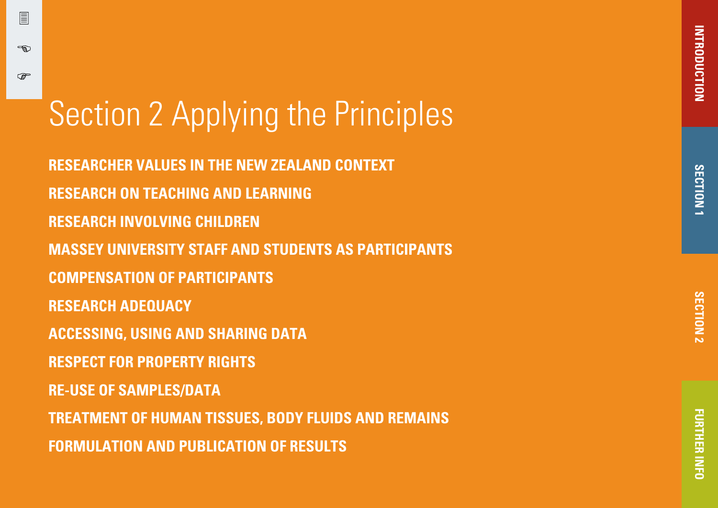# Section 2 Applying the Principles

冒

-න

൲

**[RESEARCHER VALUES IN THE NEW ZEALAND CONTEXT](#page-9-0) [RESEARCH ON TEACHING AND LEARNING](#page-10-0) [RESEARCH INVOLVING CHILDREN](#page-12-0) [MASSEY UNIVERSITY STAFF AND STUDENTS AS PARTICIPANTS](#page-12-0) [COMPENSATION OF PARTICIPANTS](#page-12-0) [RESEARCH ADEQUACY](#page-13-0) [ACCESSING, USING AND SHARING DATA](#page-13-0) [RESPECT FOR PROPERTY RIGHTS](#page-14-0) [RE-USE OF SAMPLES/DATA](#page-14-0) [TREATMENT OF HUMAN TISSUES, BODY FLUIDS AND REMAINS](#page-14-0) [FORMULATION AND PUBLICATION OF RESULTS](#page-14-0)**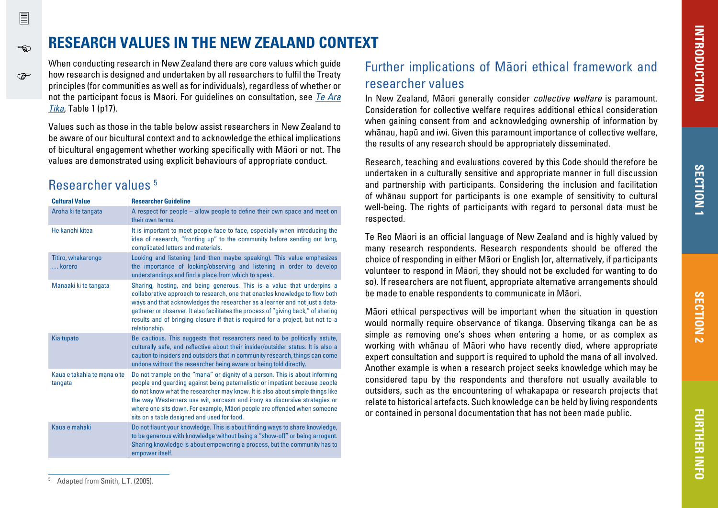# **RESEARCH VALUES IN THE NEW ZEALAND CONTEXT**

When conducting research in New Zealand there are core values which guide how research is designed and undertaken by all researchers to fulfil the Treaty principles (for communities as well as for individuals), regardless of whether or not the participant focus is Mäori. For guidelines on consultation, see [Te Ara](http://www.hrc.govt.nz/sites/default/files/Te%20Ara%20Tika%20Guidelines%20for%20Maori%20Research%20Ethics.pdf)  [Tika](http://www.hrc.govt.nz/sites/default/files/Te%20Ara%20Tika%20Guidelines%20for%20Maori%20Research%20Ethics.pdf), Table 1 (p17).

Values such as those in the table below assist researchers in New Zealand to be aware of our bicultural context and to acknowledge the ethical implications of bicultural engagement whether working specifically with Mäori or not. The values are demonstrated using explicit behaviours of appropriate conduct.

# Researcher values 5

<span id="page-9-0"></span>冒

ക്ക

൲

| <b>Cultural Value</b>                  | <b>Researcher Guideline</b>                                                                                                                                                                                                                                                                                                                                                                                                                          |
|----------------------------------------|------------------------------------------------------------------------------------------------------------------------------------------------------------------------------------------------------------------------------------------------------------------------------------------------------------------------------------------------------------------------------------------------------------------------------------------------------|
| Aroha ki te tangata                    | A respect for people $-$ allow people to define their own space and meet on<br>their own terms.                                                                                                                                                                                                                                                                                                                                                      |
| He kanohi kitea                        | It is important to meet people face to face, especially when introducing the<br>idea of research, "fronting up" to the community before sending out long,<br>complicated letters and materials.                                                                                                                                                                                                                                                      |
| Titiro, whakarongo<br>korero           | Looking and listening (and then maybe speaking). This value emphasizes<br>the importance of looking/observing and listening in order to develop<br>understandings and find a place from which to speak.                                                                                                                                                                                                                                              |
| Manaaki ki te tangata                  | Sharing, hosting, and being generous. This is a value that underpins a<br>collaborative approach to research, one that enables knowledge to flow both<br>ways and that acknowledges the researcher as a learner and not just a data-<br>gatherer or observer. It also facilitates the process of "giving back," of sharing<br>results and of bringing closure if that is required for a project, but not to a<br>relationship.                       |
| Kia tupato                             | Be cautious. This suggests that researchers need to be politically astute,<br>culturally safe, and reflective about their insider/outsider status. It is also a<br>caution to insiders and outsiders that in community research, things can come<br>undone without the researcher being aware or being told directly.                                                                                                                                |
| Kaua e takahia te mana o te<br>tangata | Do not trample on the "mana" or dignity of a person. This is about informing<br>people and guarding against being paternalistic or impatient because people<br>do not know what the researcher may know. It is also about simple things like<br>the way Westerners use wit, sarcasm and irony as discursive strategies or<br>where one sits down. For example, Māori people are offended when someone<br>sits on a table designed and used for food. |
| Kaua e mahaki                          | Do not flaunt your knowledge. This is about finding ways to share knowledge,<br>to be generous with knowledge without being a "show-off" or being arrogant.<br>Sharing knowledge is about empowering a process, but the community has to<br>empower itself.                                                                                                                                                                                          |

# Further implications of Mäori ethical framework and researcher values

In New Zealand, Māori generally consider *collective welfare* is paramount. Consideration for collective welfare requires additional ethical consideration when gaining consent from and acknowledging ownership of information by whänau, hapü and iwi. Given this paramount importance of collective welfare, the results of any research should be appropriately disseminated.

Research, teaching and evaluations covered by this Code should therefore be undertaken in a culturally sensitive and appropriate manner in full discussion and partnership with participants. Considering the inclusion and facilitation of whänau support for participants is one example of sensitivity to cultural well-being. The rights of participants with regard to personal data must be respected.

Te Reo Mäori is an official language of New Zealand and is highly valued by many research respondents. Research respondents should be offered the choice of responding in either Mäori or English (or, alternatively, if participants volunteer to respond in Mäori, they should not be excluded for wanting to do so). If researchers are not fluent, appropriate alternative arrangements should be made to enable respondents to communicate in Mäori.

Mäori ethical perspectives will be important when the situation in question would normally require observance of tikanga. Observing tikanga can be as simple as removing one's shoes when entering a home, or as complex as working with whänau of Mäori who have recently died, where appropriate expert consultation and support is required to uphold the mana of all involved. Another example is when a research project seeks knowledge which may be considered tapu by the respondents and therefore not usually available to outsiders, such as the encountering of whakapapa or research projects that relate to historical artefacts. Such knowledge can be held by living respondents or contained in personal documentation that has not been made public.

<sup>5</sup> Adapted from Smith, L.T. (2005).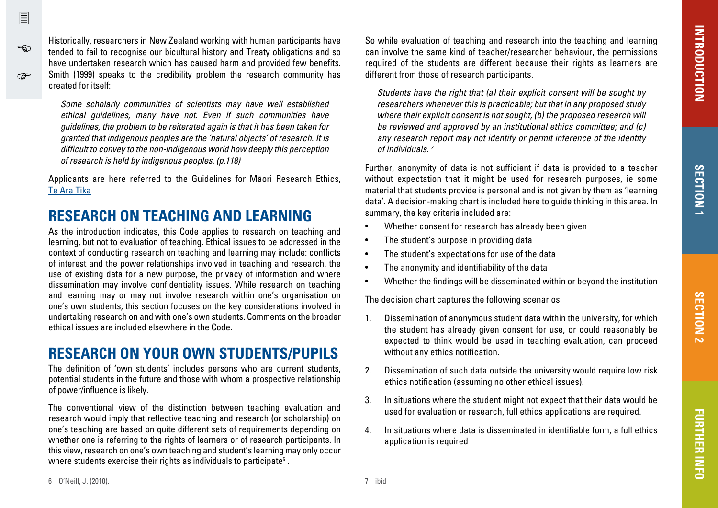Historically, researchers in New Zealand working with human participants have tended to fail to recognise our bicultural history and Treaty obligations and so have undertaken research which has caused harm and provided few benefits. Smith (1999) speaks to the credibility problem the research community has created for itself:

Some scholarly communities of scientists may have well established ethical guidelines, many have not. Even if such communities have guidelines, the problem to be reiterated again is that it has been taken for granted that indigenous peoples are the 'natural objects' of research. It is difficult to convey to the non-indigenous world how deeply this perception of research is held by indigenous peoples. (p.118)

Applicants are here referred to the Guidelines for Mäori Research Ethics, [Te Ara Tika](http://www.hrc.govt.nz/sites/default/files/Te%20Ara%20Tika%20Guidelines%20for%20Maori%20Research%20Ethics.pdf)

# **RESEARCH ON TEACHING AND LEARNING**

As the introduction indicates, this Code applies to research on teaching and learning, but not to evaluation of teaching. Ethical issues to be addressed in the context of conducting research on teaching and learning may include: conflicts of interest and the power relationships involved in teaching and research, the use of existing data for a new purpose, the privacy of information and where dissemination may involve confidentiality issues. While research on teaching and learning may or may not involve research within one's organisation on one's own students, this section focuses on the key considerations involved in undertaking research on and with one's own students. Comments on the broader ethical issues are included elsewhere in the Code.

# **RESEARCH ON YOUR OWN STUDENTS/PUPILS**

The definition of 'own students' includes persons who are current students, potential students in the future and those with whom a prospective relationship of power/influence is likely.

The conventional view of the distinction between teaching evaluation and research would imply that reflective teaching and research (or scholarship) on one's teaching are based on quite different sets of requirements depending on whether one is referring to the rights of learners or of research participants. In this view, research on one's own teaching and student's learning may only occur where students exercise their rights as individuals to participate $^{\rm 6}$  .

So while evaluation of teaching and research into the teaching and learning can involve the same kind of teacher/researcher behaviour, the permissions required of the students are different because their rights as learners are different from those of research participants.

Students have the right that (a) their explicit consent will be sought by researchers whenever this is practicable; but that in any proposed study where their explicit consent is not sought, (b) the proposed research will be reviewed and approved by an institutional ethics committee; and (c) any research report may not identify or permit inference of the identity of individuals. 7

Further, anonymity of data is not sufficient if data is provided to a teacher without expectation that it might be used for research purposes, ie some material that students provide is personal and is not given by them as 'learning data'. A decision-making chart is included here to guide thinking in this area. In summary, the key criteria included are:

- Whether consent for research has already been given
- The student's purpose in providing data
- The student's expectations for use of the data
- The anonymity and identifiability of the data
- Whether the findings will be disseminated within or beyond the institution

The decision chart captures the following scenarios:

- 1. Dissemination of anonymous student data within the university, for which the student has already given consent for use, or could reasonably be expected to think would be used in teaching evaluation, can proceed without any ethics notification.
- 2. Dissemination of such data outside the university would require low risk ethics notification (assuming no other ethical issues).
- 3. In situations where the student might not expect that their data would be used for evaluation or research, full ethics applications are required.
- 4. In situations where data is disseminated in identifiable form, a full ethics application is required

6 O'Neill, J. (2010).

<span id="page-10-0"></span> $\sqrt{2}$ 

-න

൲

7 ibid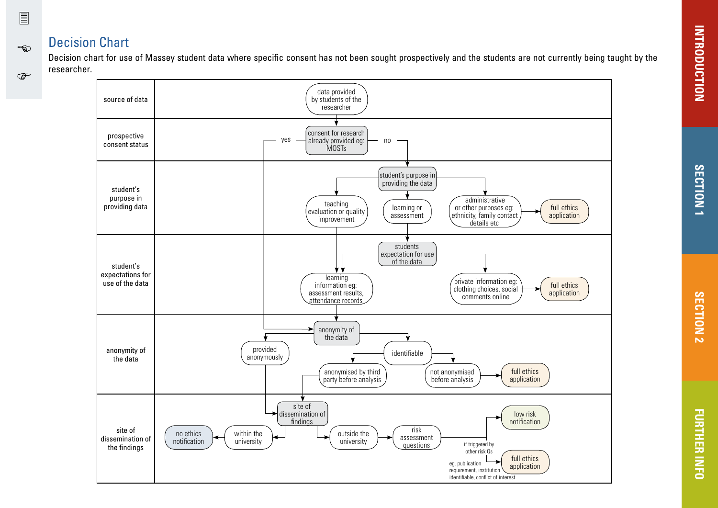### Decision Chart

 $\sqrt{2}$ 

භ

 $\mathbb{Q}$ 

Decision chart for use of Massey student data where specific consent has not been sought prospectively and the students are not currently being taught by the researcher.

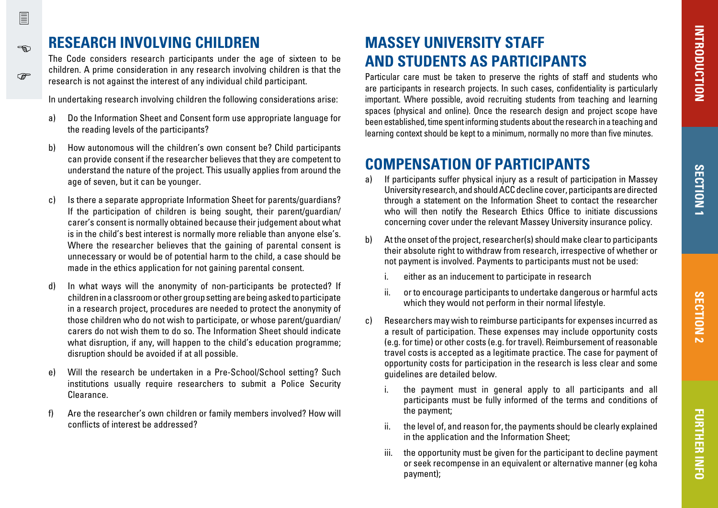**FURTHER INFO**

**FURTHER INFO** 

# **RESEARCH INVOLVING CHILDREN**

The Code considers research participants under the age of sixteen to be children. A prime consideration in any research involving children is that the research is not against the interest of any individual child participant.

In undertaking research involving children the following considerations arise:

- a) Do the Information Sheet and Consent form use appropriate language for the reading levels of the participants?
- b) How autonomous will the children's own consent be? Child participants can provide consent if the researcher believes that they are competent to understand the nature of the project. This usually applies from around the age of seven, but it can be younger.
- c) Is there a separate appropriate Information Sheet for parents/guardians? If the participation of children is being sought, their parent/guardian/ carer's consent is normally obtained because their judgement about what is in the child's best interest is normally more reliable than anyone else's. Where the researcher believes that the gaining of parental consent is unnecessary or would be of potential harm to the child, a case should be made in the ethics application for not gaining parental consent.
- d) In what ways will the anonymity of non-participants be protected? If children in a classroom or other group setting are being asked to participate in a research project, procedures are needed to protect the anonymity of those children who do not wish to participate, or whose parent/guardian/ carers do not wish them to do so. The Information Sheet should indicate what disruption, if any, will happen to the child's education programme; disruption should be avoided if at all possible.
- e) Will the research be undertaken in a Pre-School/School setting? Such institutions usually require researchers to submit a Police Security Clearance.
- f) Are the researcher's own children or family members involved? How will conflicts of interest be addressed?

# **MASSEY UNIVERSITY STAFF AND STUDENTS AS PARTICIPANTS**

Particular care must be taken to preserve the rights of staff and students who are participants in research projects. In such cases, confidentiality is particularly important. Where possible, avoid recruiting students from teaching and learning spaces (physical and online). Once the research design and project scope have been established, time spent informing students about the research in a teaching and learning context should be kept to a minimum, normally no more than five minutes.

# **COMPENSATION OF PARTICIPANTS**

- a) If participants suffer physical injury as a result of participation in Massey University research, and should ACC decline cover, participants are directed through a statement on the Information Sheet to contact the researcher who will then notify the Research Ethics Office to initiate discussions concerning cover under the relevant Massey University insurance policy.
- b) At the onset of the project, researcher(s) should make clear to participants their absolute right to withdraw from research, irrespective of whether or not payment is involved. Payments to participants must not be used:
	- i. either as an inducement to participate in research
	- ii. or to encourage participants to undertake dangerous or harmful acts which they would not perform in their normal lifestyle.
- c) Researchers may wish to reimburse participants for expenses incurred as a result of participation. These expenses may include opportunity costs (e.g. for time) or other costs (e.g. for travel). Reimbursement of reasonable travel costs is accepted as a legitimate practice. The case for payment of opportunity costs for participation in the research is less clear and some guidelines are detailed below.
	- i. the payment must in general apply to all participants and all participants must be fully informed of the terms and conditions of the payment;
	- ii. the level of, and reason for, the payments should be clearly explained in the application and the Information Sheet;
	- iii. the opportunity must be given for the participant to decline payment or seek recompense in an equivalent or alternative manner (eg koha payment);

<span id="page-12-0"></span>ക്ക

෬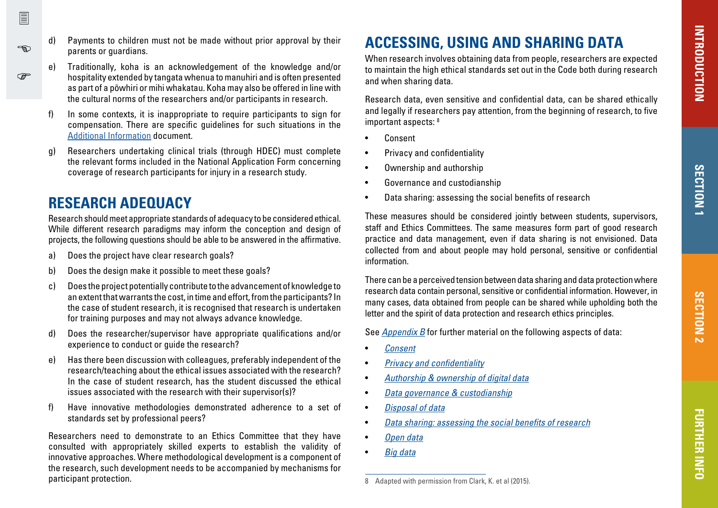- d) Payments to children must not be made without prior approval by their parents or guardians.
	- Traditionally, koha is an acknowledgement of the knowledge and/or hospitality extended by tangata whenua to manuhiri and is often presented as part of a pöwhiri or mihi whakatau. Koha may also be offered in line with the cultural norms of the researchers and/or participants in research.
- f) In some contexts, it is inappropriate to require participants to sign for compensation. There are specific guidelines for such situations in the [Additional Information](http://www.massey.ac.nz/massey/research/research-ethics/human-ethics/forms-and-procedures.cfm) document.
- g) Researchers undertaking clinical trials (through HDEC) must complete the relevant forms included in the National Application Form concerning coverage of research participants for injury in a research study.

### **RESEARCH ADEQUACY**

<span id="page-13-0"></span>冒

-න

**P** 

Research should meet appropriate standards of adequacy to be considered ethical. While different research paradigms may inform the conception and design of projects, the following questions should be able to be answered in the affirmative.

- a) Does the project have clear research goals?
- b) Does the design make it possible to meet these goals?
- c) Does the project potentially contribute to the advancement of knowledge to an extent that warrants the cost, in time and effort, from the participants? In the case of student research, it is recognised that research is undertaken for training purposes and may not always advance knowledge.
- d) Does the researcher/supervisor have appropriate qualifications and/or experience to conduct or guide the research?
- e) Has there been discussion with colleagues, preferably independent of the research/teaching about the ethical issues associated with the research? In the case of student research, has the student discussed the ethical issues associated with the research with their supervisor(s)?
- f) Have innovative methodologies demonstrated adherence to a set of standards set by professional peers?

Researchers need to demonstrate to an Ethics Committee that they have consulted with appropriately skilled experts to establish the validity of innovative approaches. Where methodological development is a component of the research, such development needs to be accompanied by mechanisms for participant protection.

# **ACCESSING, USING AND SHARING DATA**

When research involves obtaining data from people, researchers are expected to maintain the high ethical standards set out in the Code both during research and when sharing data.

Research data, even sensitive and confidential data, can be shared ethically and legally if researchers pay attention, from the beginning of research, to five important aspects: 8

- **Consent**
- Privacy and confidentiality
- Ownership and authorship
- Governance and custodianship
- Data sharing: assessing the social benefits of research

These measures should be considered jointly between students, supervisors, staff and Ethics Committees. The same measures form part of good research practice and data management, even if data sharing is not envisioned. Data collected from and about people may hold personal, sensitive or confidential information.

There can be a perceived tension between data sharing and data protection where research data contain personal, sensitive or confidential information. However, in many cases, data obtained from people can be shared while upholding both the letter and the spirit of data protection and research ethics principles.

See [Appendix B](#page-19-0) for further material on the following aspects of data:

- **[Consent](#page-19-0)**
- [Privacy and confidentiality](#page-19-0)
- [Authorship & ownership of digital data](#page-20-0)
- [Data governance & custodianship](#page-20-0)
- [Disposal of data](#page-20-0)
- [Data sharing: assessing the social benefits of research](#page-21-0)
- [Open data](#page-21-0)
- [Big data](#page-21-0)

8 Adapted with permission from Clark, K. et al (2015).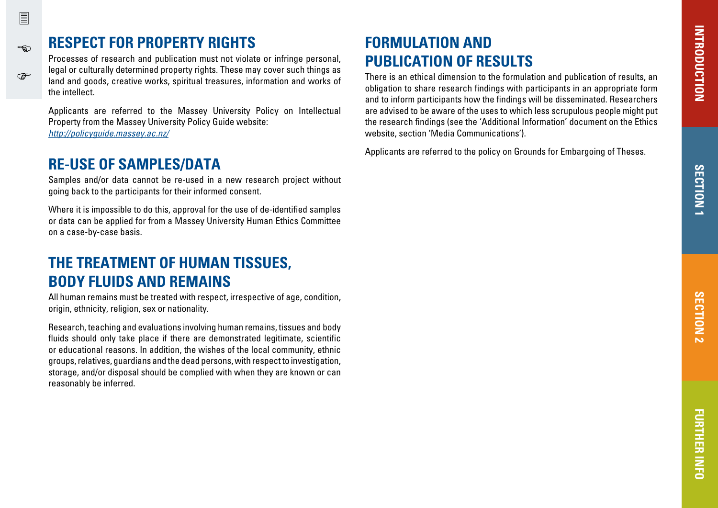# **RESPECT FOR PROPERTY RIGHTS**

Processes of research and publication must not violate or infringe personal, legal or culturally determined property rights. These may cover such things as land and goods, creative works, spiritual treasures, information and works of the intellect.

Applicants are referred to the Massey University Policy on Intellectual Property from the Massey University Policy Guide website: <http://policyguide.massey.ac.nz/>

# **RE-USE OF SAMPLES/DATA**

Samples and/or data cannot be re-used in a new research project without going back to the participants for their informed consent.

Where it is impossible to do this, approval for the use of de-identified samples or data can be applied for from a Massey University Human Ethics Committee on a case-by-case basis.

# **THE TREATMENT OF HUMAN TISSUES, BODY FLUIDS AND REMAINS**

All human remains must be treated with respect, irrespective of age, condition, origin, ethnicity, religion, sex or nationality.

Research, teaching and evaluations involving human remains, tissues and body fluids should only take place if there are demonstrated legitimate, scientific or educational reasons. In addition, the wishes of the local community, ethnic groups, relatives, guardians and the dead persons, with respect to investigation, storage, and/or disposal should be complied with when they are known or can reasonably be inferred.

# **FORMULATION AND PUBLICATION OF RESULTS**

There is an ethical dimension to the formulation and publication of results, an obligation to share research findings with participants in an appropriate form and to inform participants how the findings will be disseminated. Researchers are advised to be aware of the uses to which less scrupulous people might put the research findings (see the 'Additional Information' document on the Ethics website, section 'Media Communications').

Applicants are referred to the policy on Grounds for Embargoing of Theses.

<span id="page-14-0"></span>ക്ക

෬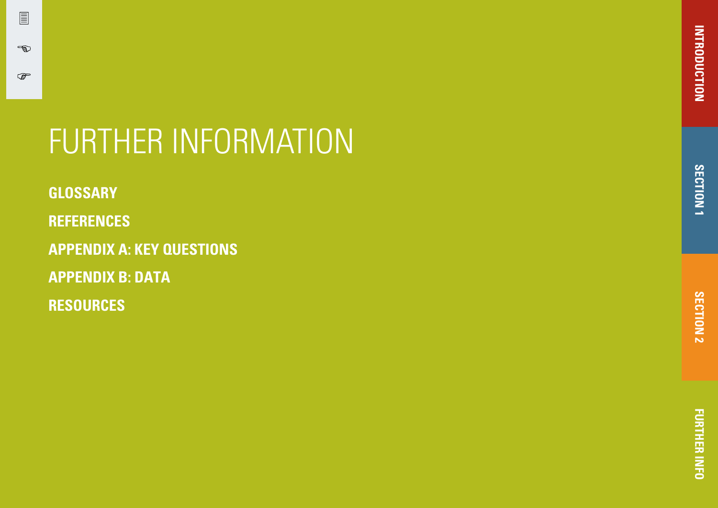# SECTION<sub>1</sub> **SECTION 1**

# FURTHER INFORMATION

**[GLOSSARY](#page-16-0)**

冒

 $\rightarrow$ 

 $\mathbb{Q}$ 

**[REFERENCES](#page-17-0)**

**[APPENDIX A: KEY QUESTIONS](#page-18-0)**

**[APPENDIX B: DATA](#page-19-0)** 

**RESOURCES**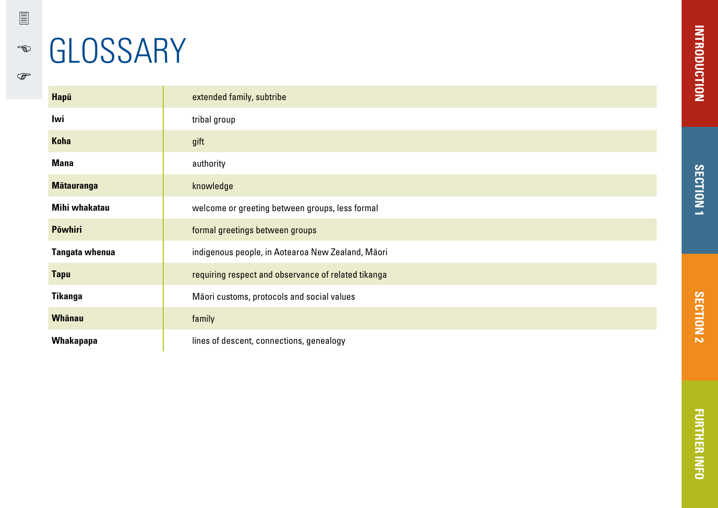<span id="page-16-0"></span> $\mathbb{R}$ 

 $\begin{picture}(20,20) \put(0,0){\line(1,0){155}} \put(0,0){\line(1,0){155}} \put(0,0){\line(1,0){155}} \put(0,0){\line(1,0){155}} \put(0,0){\line(1,0){155}} \put(0,0){\line(1,0){155}} \put(0,0){\line(1,0){155}} \put(0,0){\line(1,0){155}} \put(0,0){\line(1,0){155}} \put(0,0){\line(1,0){155}} \put(0,0){\line(1,0){155}} \put(0,0){\line(1$ 

# **GLOSSARY**

| Hapū                  | extended family, subtribe                           |
|-----------------------|-----------------------------------------------------|
| Iwi                   | tribal group                                        |
| <b>Koha</b>           | gift                                                |
| <b>Mana</b>           | authority                                           |
| <b>Mātauranga</b>     | knowledge                                           |
| Mihi whakatau         | welcome or greeting between groups, less formal     |
| <b>Pōwhiri</b>        | formal greetings between groups                     |
| <b>Tangata whenua</b> | indigenous people, in Aotearoa New Zealand, Māori   |
| <b>Tapu</b>           | requiring respect and observance of related tikanga |
| <b>Tikanga</b>        | Māori customs, protocols and social values          |
| <b>Whānau</b>         | family                                              |
| Whakapapa             | lines of descent, connections, genealogy            |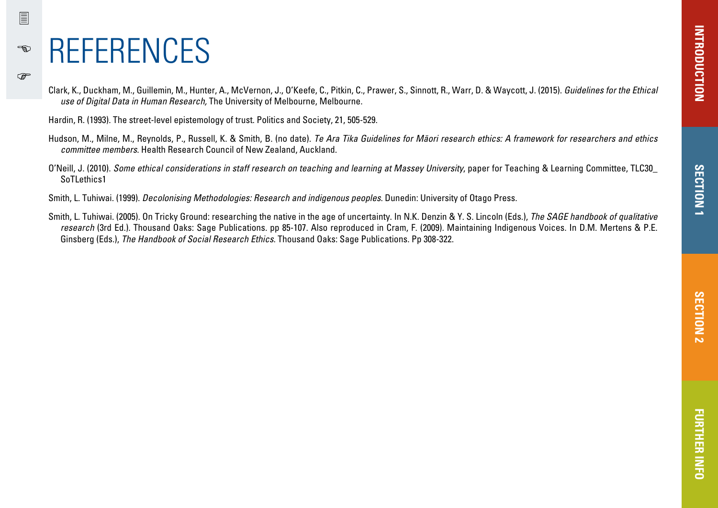# REFERENCES

<span id="page-17-0"></span>冒

-ක

**PED** 

Clark, K., Duckham, M., Guillemin, M., Hunter, A., McVernon, J., O'Keefe, C., Pitkin, C., Prawer, S., Sinnott, R., Warr, D. & Waycott, J. (2015). Guidelines for the Ethical use of Digital Data in Human Research, The University of Melbourne, Melbourne.

Hardin, R. (1993). The street-level epistemology of trust. Politics and Society, 21, 505-529.

- Hudson, M., Milne, M., Reynolds, P., Russell, K. & Smith, B. (no date). Te Ara Tika Guidelines for Māori research ethics: A framework for researchers and ethics committee members. Health Research Council of New Zealand, Auckland.
- O'Neill, J. (2010). Some ethical considerations in staff research on teaching and learning at Massey University, paper for Teaching & Learning Committee, TLC30\_ SoTLethics1

Smith, L. Tuhiwai. (1999). Decolonising Methodologies: Research and indigenous peoples. Dunedin: University of Otago Press.

Smith, L. Tuhiwai. (2005). On Tricky Ground: researching the native in the age of uncertainty. In N.K. Denzin & Y. S. Lincoln (Eds.), The SAGE handbook of qualitative research (3rd Ed.). Thousand Oaks: Sage Publications. pp 85-107. Also reproduced in Cram, F. (2009). Maintaining Indigenous Voices. In D.M. Mertens & P.E. Ginsberg (Eds.), The Handbook of Social Research Ethics. Thousand Oaks: Sage Publications. Pp 308-322.

**SECTION 1**

**SECTION**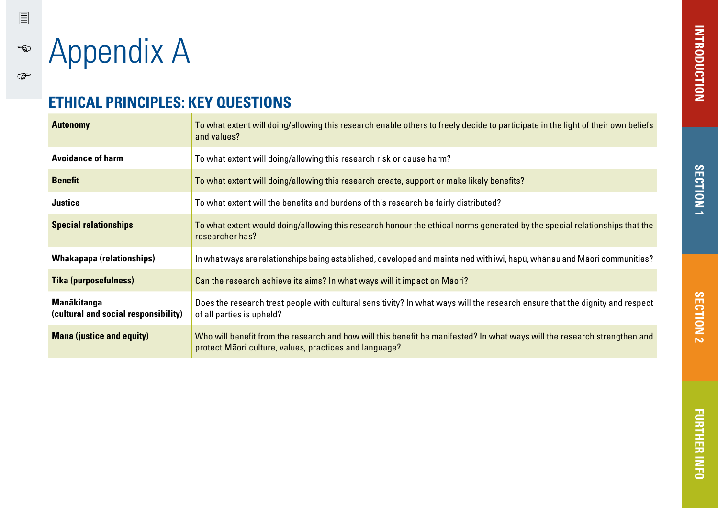Appendix A

<span id="page-18-0"></span>冒

 $\begin{picture}(20,20) \put(0,0){\vector(1,0){10}} \put(15,0){\vector(1,0){10}} \put(15,0){\vector(1,0){10}} \put(15,0){\vector(1,0){10}} \put(15,0){\vector(1,0){10}} \put(15,0){\vector(1,0){10}} \put(15,0){\vector(1,0){10}} \put(15,0){\vector(1,0){10}} \put(15,0){\vector(1,0){10}} \put(15,0){\vector(1,0){10}} \put(15,0){\vector(1,0){10}} \put(15,0){\vector(1$ 

 $\mathbb{Q}$ 

# **ETHICAL PRINCIPLES: KEY QUESTIONS**

| <b>Autonomy</b>                                            | To what extent will doing/allowing this research enable others to freely decide to participate in the light of their own beliefs<br>and values?                                     |
|------------------------------------------------------------|-------------------------------------------------------------------------------------------------------------------------------------------------------------------------------------|
| <b>Avoidance of harm</b>                                   | To what extent will doing/allowing this research risk or cause harm?                                                                                                                |
| <b>Benefit</b>                                             | To what extent will doing/allowing this research create, support or make likely benefits?                                                                                           |
| <b>Justice</b>                                             | To what extent will the benefits and burdens of this research be fairly distributed?                                                                                                |
| <b>Special relationships</b>                               | To what extent would doing/allowing this research honour the ethical norms generated by the special relationships that the<br>researcher has?                                       |
| <b>Whakapapa (relationships)</b>                           | In what ways are relationships being established, developed and maintained with iwi, hapū, whānau and Māori communities?                                                            |
| <b>Tika (purposefulness)</b>                               | Can the research achieve its aims? In what ways will it impact on Maori?                                                                                                            |
| <b>Manākitanga</b><br>(cultural and social responsibility) | Does the research treat people with cultural sensitivity? In what ways will the research ensure that the dignity and respect<br>of all parties is upheld?                           |
| <b>Mana (justice and equity)</b>                           | Who will benefit from the research and how will this benefit be manifested? In what ways will the research strengthen and<br>protect Maori culture, values, practices and language? |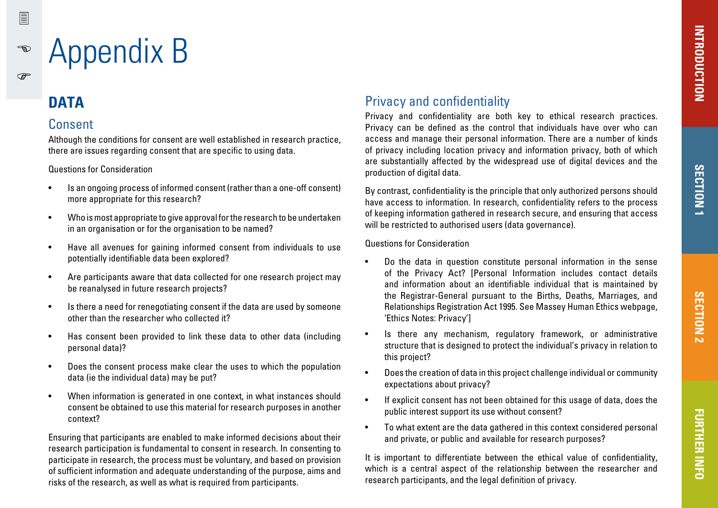# Appendix B

# **DATA**

<span id="page-19-0"></span>冒

 $\epsilon$ 

**PED** 

### Consent

Although the conditions for consent are well established in research practice, there are issues regarding consent that are specific to using data.

#### Questions for Consideration

- Is an ongoing process of informed consent (rather than a one-off consent) more appropriate for this research?
- Who is most appropriate to give approval for the research to be undertaken in an organisation or for the organisation to be named?
- Have all avenues for gaining informed consent from individuals to use potentially identifiable data been explored?
- Are participants aware that data collected for one research project may be reanalysed in future research projects?
- Is there a need for renegotiating consent if the data are used by someone other than the researcher who collected it?
- Has consent been provided to link these data to other data (including personal data)?
- Does the consent process make clear the uses to which the population data (ie the individual data) may be put?
- When information is generated in one context, in what instances should consent be obtained to use this material for research purposes in another context?

Ensuring that participants are enabled to make informed decisions about their research participation is fundamental to consent in research. In consenting to participate in research, the process must be voluntary, and based on provision of sufficient information and adequate understanding of the purpose, aims and risks of the research, as well as what is required from participants.

# Privacy and confidentiality

Privacy and confidentiality are both key to ethical research practices. Privacy can be defined as the control that individuals have over who can access and manage their personal information. There are a number of kinds of privacy including location privacy and information privacy, both of which are substantially affected by the widespread use of digital devices and the production of digital data.

By contrast, confidentiality is the principle that only authorized persons should have access to information. In research, confidentiality refers to the process of keeping information gathered in research secure, and ensuring that access will be restricted to authorised users (data governance).

Questions for Consideration

- Do the data in question constitute personal information in the sense of the Privacy Act? [Personal Information includes contact details and information about an identifiable individual that is maintained by the Registrar-General pursuant to the Births, Deaths, Marriages, and Relationships Registration Act 1995. See Massey Human Ethics webpage, 'Ethics Notes: Privacy']
- Is there any mechanism, regulatory framework, or administrative structure that is designed to protect the individual's privacy in relation to this project?
- Does the creation of data in this project challenge individual or community expectations about privacy?
- If explicit consent has not been obtained for this usage of data, does the public interest support its use without consent?
- To what extent are the data gathered in this context considered personal and private, or public and available for research purposes?

It is important to differentiate between the ethical value of confidentiality, which is a central aspect of the relationship between the researcher and research participants, and the legal definition of privacy.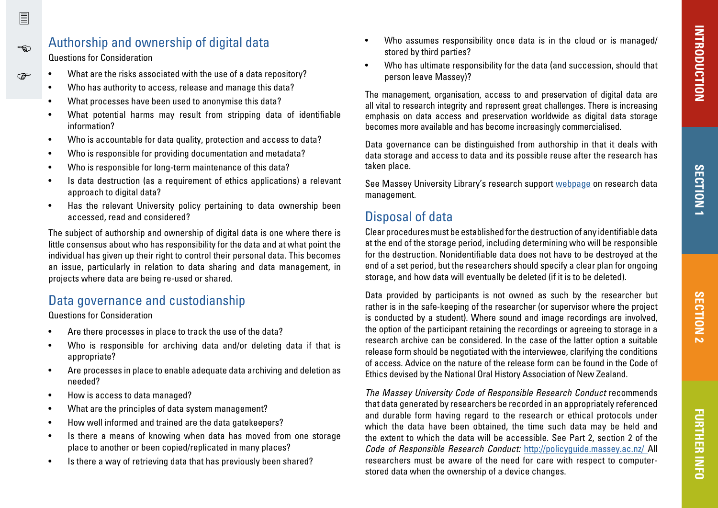# Authorship and ownership of digital data

Questions for Consideration

- What are the risks associated with the use of a data repository?
	- Who has authority to access, release and manage this data?
	- What processes have been used to anonymise this data?
	- What potential harms may result from stripping data of identifiable information?
	- Who is accountable for data quality, protection and access to data?
	- Who is responsible for providing documentation and metadata?
	- Who is responsible for long-term maintenance of this data?
	- Is data destruction (as a requirement of ethics applications) a relevant approach to digital data?
	- Has the relevant University policy pertaining to data ownership been accessed, read and considered?

The subject of authorship and ownership of digital data is one where there is little consensus about who has responsibility for the data and at what point the individual has given up their right to control their personal data. This becomes an issue, particularly in relation to data sharing and data management, in projects where data are being re-used or shared.

# Data governance and custodianship

Questions for Consideration

- Are there processes in place to track the use of the data?
- Who is responsible for archiving data and/or deleting data if that is appropriate?
- Are processes in place to enable adequate data archiving and deletion as needed?
- How is access to data managed?
- What are the principles of data system management?
- How well informed and trained are the data gatekeepers?
- Is there a means of knowing when data has moved from one storage place to another or been copied/replicated in many places?
- Is there a way of retrieving data that has previously been shared?
- Who assumes responsibility once data is in the cloud or is managed/ stored by third parties?
- Who has ultimate responsibility for the data (and succession, should that person leave Massey)?

The management, organisation, access to and preservation of digital data are all vital to research integrity and represent great challenges. There is increasing emphasis on data access and preservation worldwide as digital data storage becomes more available and has become increasingly commercialised.

Data governance can be distinguished from authorship in that it deals with data storage and access to data and its possible reuse after the research has taken place.

See Massey University Library's research support [webpage](http://www.massey.ac.nz/massey/research/library/library-services/research-services/research-services_home.cfm) on research data management.

# Disposal of data

Clear procedures must be established for the destruction of any identifiable data at the end of the storage period, including determining who will be responsible for the destruction. Nonidentifiable data does not have to be destroyed at the end of a set period, but the researchers should specify a clear plan for ongoing storage, and how data will eventually be deleted (if it is to be deleted).

Data provided by participants is not owned as such by the researcher but rather is in the safe-keeping of the researcher (or supervisor where the project is conducted by a student). Where sound and image recordings are involved, the option of the participant retaining the recordings or agreeing to storage in a research archive can be considered. In the case of the latter option a suitable release form should be negotiated with the interviewee, clarifying the conditions of access. Advice on the nature of the release form can be found in the Code of Ethics devised by the National Oral History Association of New Zealand.

The Massey University Code of Responsible Research Conduct recommends that data generated by researchers be recorded in an appropriately referenced and durable form having regard to the research or ethical protocols under which the data have been obtained, the time such data may be held and the extent to which the data will be accessible. See Part 2, section 2 of the Code of Responsible Research Conduct: <http://policyguide.massey.ac.nz/> All researchers must be aware of the need for care with respect to computerstored data when the ownership of a device changes.

<span id="page-20-0"></span> $\sqrt{2}$ 

ക്ക

൲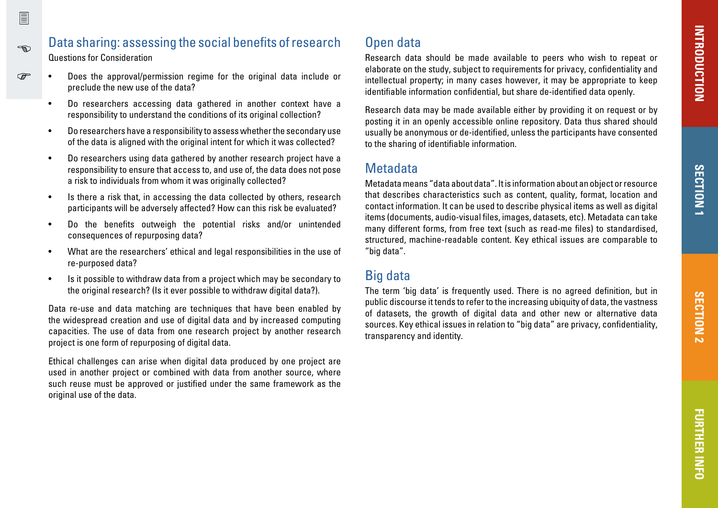# භ

<span id="page-21-0"></span>冒

#### Data sharing: assessing the social benefits of research Questions for Consideration

- Does the approval/permission regime for the original data include or ൲ preclude the new use of the data?
	- Do researchers accessing data gathered in another context have a responsibility to understand the conditions of its original collection?
	- Do researchers have a responsibility to assess whether the secondary use of the data is aligned with the original intent for which it was collected?
	- Do researchers using data gathered by another research project have a responsibility to ensure that access to, and use of, the data does not pose a risk to individuals from whom it was originally collected?
	- Is there a risk that, in accessing the data collected by others, research participants will be adversely affected? How can this risk be evaluated?
	- Do the benefits outweigh the potential risks and/or unintended consequences of repurposing data?
	- What are the researchers' ethical and legal responsibilities in the use of re-purposed data?
	- Is it possible to withdraw data from a project which may be secondary to the original research? (Is it ever possible to withdraw digital data?).

Data re-use and data matching are techniques that have been enabled by the widespread creation and use of digital data and by increased computing capacities. The use of data from one research project by another research project is one form of repurposing of digital data.

Ethical challenges can arise when digital data produced by one project are used in another project or combined with data from another source, where such reuse must be approved or justified under the same framework as the original use of the data.

# Open data

Research data should be made available to peers who wish to repeat or elaborate on the study, subject to requirements for privacy, confidentiality and intellectual property; in many cases however, it may be appropriate to keep identifiable information confidential, but share de-identified data openly.

Research data may be made available either by providing it on request or by posting it in an openly accessible online repository. Data thus shared should usually be anonymous or de-identified, unless the participants have consented to the sharing of identifiable information.

### **Metadata**

Metadata means "data about data". It is information about an object or resource that describes characteristics such as content, quality, format, location and contact information. It can be used to describe physical items as well as digital items (documents, audio-visual files, images, datasets, etc). Metadata can take many different forms, from free text (such as read-me files) to standardised, structured, machine-readable content. Key ethical issues are comparable to "big data".

### Big data

The term 'big data' is frequently used. There is no agreed definition, but in public discourse it tends to refer to the increasing ubiquity of data, the vastness of datasets, the growth of digital data and other new or alternative data sources. Key ethical issues in relation to "big data" are privacy, confidentiality, transparency and identity.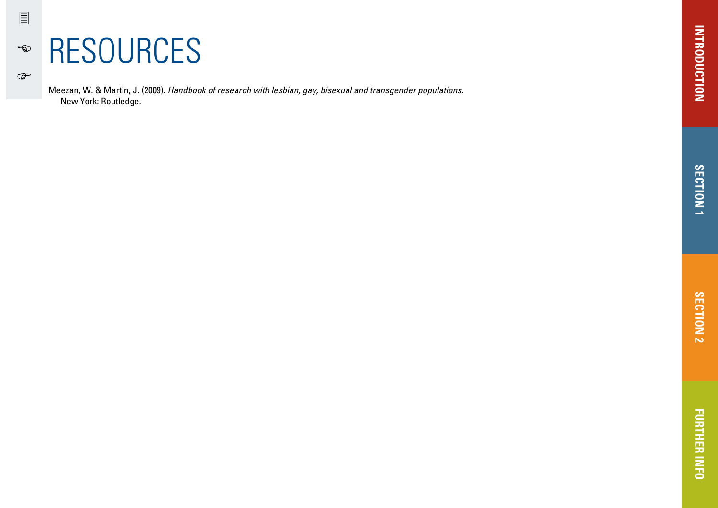# RESOURCES

圁

 $\begin{picture}(20,20) \put(0,0){\vector(1,0){10}} \put(15,0){\vector(1,0){10}} \put(15,0){\vector(1,0){10}} \put(15,0){\vector(1,0){10}} \put(15,0){\vector(1,0){10}} \put(15,0){\vector(1,0){10}} \put(15,0){\vector(1,0){10}} \put(15,0){\vector(1,0){10}} \put(15,0){\vector(1,0){10}} \put(15,0){\vector(1,0){10}} \put(15,0){\vector(1,0){10}} \put(15,0){\vector(1$ 

 $\mathbb{Q}$ 

Meezan, W. & Martin, J. (2009). Handbook of research with lesbian, gay, bisexual and transgender populations. New York: Routledge.